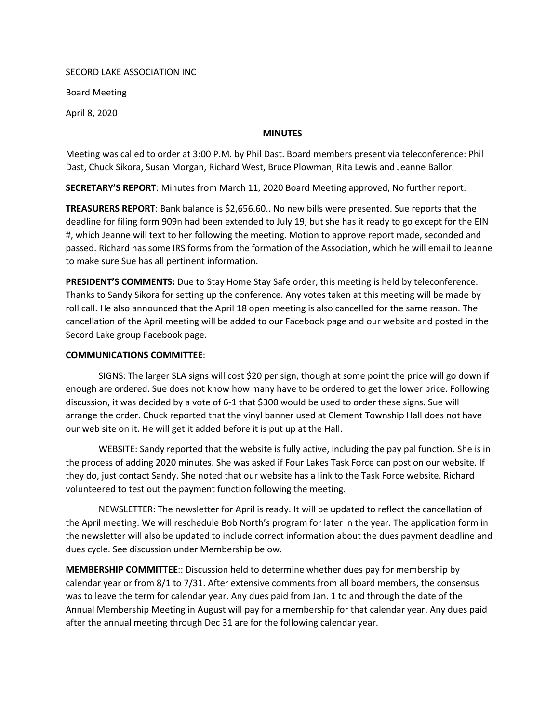## SECORD LAKE ASSOCIATION INC

Board Meeting

April 8, 2020

## **MINUTES**

Meeting was called to order at 3:00 P.M. by Phil Dast. Board members present via teleconference: Phil Dast, Chuck Sikora, Susan Morgan, Richard West, Bruce Plowman, Rita Lewis and Jeanne Ballor.

SECRETARY'S REPORT: Minutes from March 11, 2020 Board Meeting approved, No further report.

TREASURERS REPORT: Bank balance is \$2,656.60.. No new bills were presented. Sue reports that the deadline for filing form 909n had been extended to July 19, but she has it ready to go except for the EIN #, which Jeanne will text to her following the meeting. Motion to approve report made, seconded and passed. Richard has some IRS forms from the formation of the Association, which he will email to Jeanne to make sure Sue has all pertinent information.

PRESIDENT'S COMMENTS: Due to Stay Home Stay Safe order, this meeting is held by teleconference. Thanks to Sandy Sikora for setting up the conference. Any votes taken at this meeting will be made by roll call. He also announced that the April 18 open meeting is also cancelled for the same reason. The cancellation of the April meeting will be added to our Facebook page and our website and posted in the Secord Lake group Facebook page.

## COMMUNICATIONS COMMITTEE:

SIGNS: The larger SLA signs will cost \$20 per sign, though at some point the price will go down if enough are ordered. Sue does not know how many have to be ordered to get the lower price. Following discussion, it was decided by a vote of 6-1 that \$300 would be used to order these signs. Sue will arrange the order. Chuck reported that the vinyl banner used at Clement Township Hall does not have our web site on it. He will get it added before it is put up at the Hall.

WEBSITE: Sandy reported that the website is fully active, including the pay pal function. She is in the process of adding 2020 minutes. She was asked if Four Lakes Task Force can post on our website. If they do, just contact Sandy. She noted that our website has a link to the Task Force website. Richard volunteered to test out the payment function following the meeting.

NEWSLETTER: The newsletter for April is ready. It will be updated to reflect the cancellation of the April meeting. We will reschedule Bob North's program for later in the year. The application form in the newsletter will also be updated to include correct information about the dues payment deadline and dues cycle. See discussion under Membership below.

MEMBERSHIP COMMITTEE:: Discussion held to determine whether dues pay for membership by calendar year or from 8/1 to 7/31. After extensive comments from all board members, the consensus was to leave the term for calendar year. Any dues paid from Jan. 1 to and through the date of the Annual Membership Meeting in August will pay for a membership for that calendar year. Any dues paid after the annual meeting through Dec 31 are for the following calendar year.